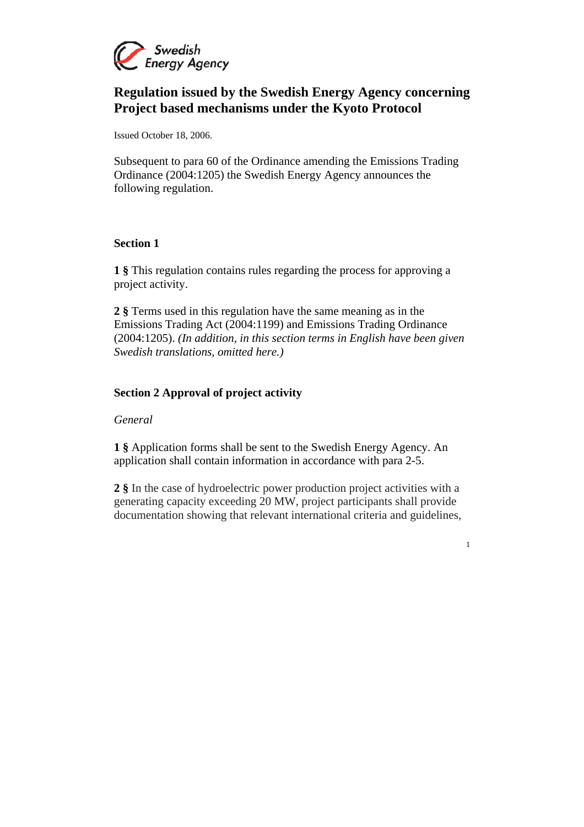

# **Regulation issued by the Swedish Energy Agency concerning Project based mechanisms under the Kyoto Protocol**

Issued October 18, 2006.

Subsequent to para 60 of the Ordinance amending the Emissions Trading Ordinance (2004:1205) the Swedish Energy Agency announces the following regulation.

#### **Section 1**

**1 §** This regulation contains rules regarding the process for approving a project activity.

**2 §** Terms used in this regulation have the same meaning as in the Emissions Trading Act (2004:1199) and Emissions Trading Ordinance (2004:1205). *(In addition, in this section terms in English have been given Swedish translations, omitted here.)*

## **Section 2 Approval of project activity**

#### *General*

**1 §** Application forms shall be sent to the Swedish Energy Agency. An application shall contain information in accordance with para 2-5.

**2 §** In the case of hydroelectric power production project activities with a generating capacity exceeding 20 MW, project participants shall provide documentation showing that relevant international criteria and guidelines,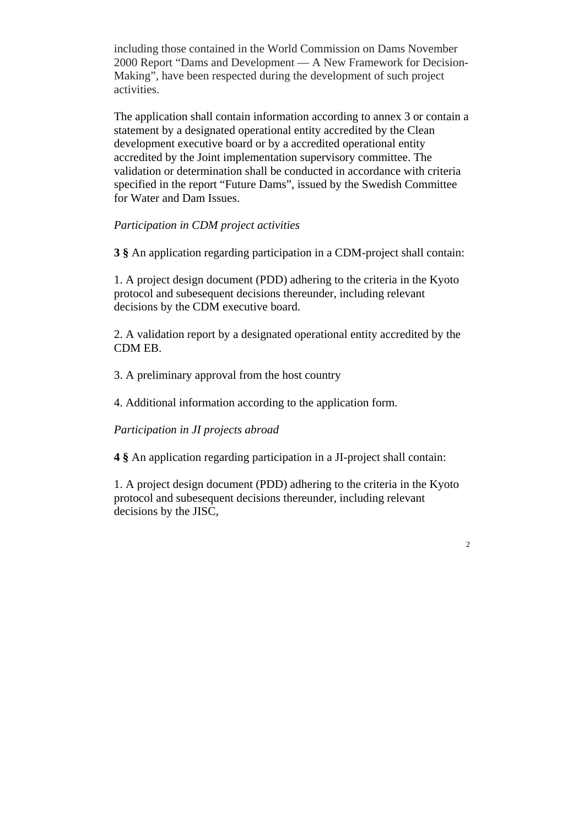including those contained in the World Commission on Dams November 2000 Report "Dams and Development — A New Framework for Decision-Making", have been respected during the development of such project activities.

The application shall contain information according to annex 3 or contain a statement by a designated operational entity accredited by the Clean development executive board or by a accredited operational entity accredited by the Joint implementation supervisory committee. The validation or determination shall be conducted in accordance with criteria specified in the report "Future Dams", issued by the Swedish Committee for Water and Dam Issues.

## *Participation in CDM project activities*

**3 §** An application regarding participation in a CDM-project shall contain:

1. A project design document (PDD) adhering to the criteria in the Kyoto protocol and subesequent decisions thereunder, including relevant decisions by the CDM executive board.

2. A validation report by a designated operational entity accredited by the CDM EB.

3. A preliminary approval from the host country

4. Additional information according to the application form.

*Participation in JI projects abroad* 

**4 §** An application regarding participation in a JI-project shall contain:

1. A project design document (PDD) adhering to the criteria in the Kyoto protocol and subesequent decisions thereunder, including relevant decisions by the JISC,

 $\overline{2}$